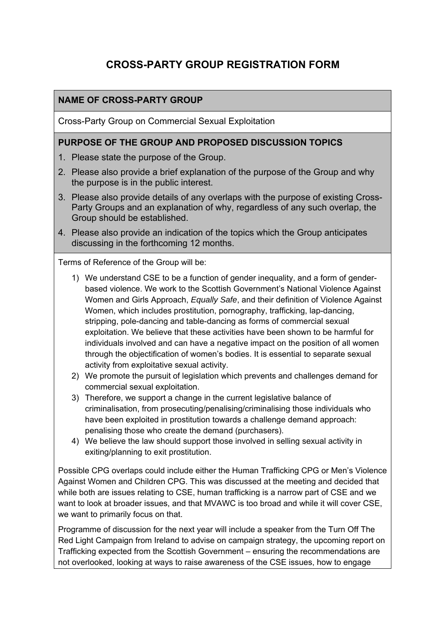# **CROSS-PARTY GROUP REGISTRATION FORM**

### **NAME OF CROSS-PARTY GROUP**

Cross-Party Group on Commercial Sexual Exploitation

#### **PURPOSE OF THE GROUP AND PROPOSED DISCUSSION TOPICS**

- 1. Please state the purpose of the Group.
- 2. Please also provide a brief explanation of the purpose of the Group and why the purpose is in the public interest.
- 3. Please also provide details of any overlaps with the purpose of existing Cross-Party Groups and an explanation of why, regardless of any such overlap, the Group should be established.
- 4. Please also provide an indication of the topics which the Group anticipates discussing in the forthcoming 12 months.

Terms of Reference of the Group will be:

- 1) We understand CSE to be a function of gender inequality, and a form of genderbased violence. We work to the Scottish Government's National Violence Against Women and Girls Approach, *Equally Safe*, and their definition of Violence Against Women, which includes prostitution, pornography, trafficking, lap-dancing, stripping, pole-dancing and table-dancing as forms of commercial sexual exploitation. We believe that these activities have been shown to be harmful for individuals involved and can have a negative impact on the position of all women through the objectification of women's bodies. It is essential to separate sexual activity from exploitative sexual activity.
- 2) We promote the pursuit of legislation which prevents and challenges demand for commercial sexual exploitation.
- 3) Therefore, we support a change in the current legislative balance of criminalisation, from prosecuting/penalising/criminalising those individuals who have been exploited in prostitution towards a challenge demand approach: penalising those who create the demand (purchasers).
- 4) We believe the law should support those involved in selling sexual activity in exiting/planning to exit prostitution.

Possible CPG overlaps could include either the Human Trafficking CPG or Men's Violence Against Women and Children CPG. This was discussed at the meeting and decided that while both are issues relating to CSE, human trafficking is a narrow part of CSE and we want to look at broader issues, and that MVAWC is too broad and while it will cover CSE, we want to primarily focus on that.

Programme of discussion for the next year will include a speaker from the Turn Off The Red Light Campaign from Ireland to advise on campaign strategy, the upcoming report on Trafficking expected from the Scottish Government – ensuring the recommendations are not overlooked, looking at ways to raise awareness of the CSE issues, how to engage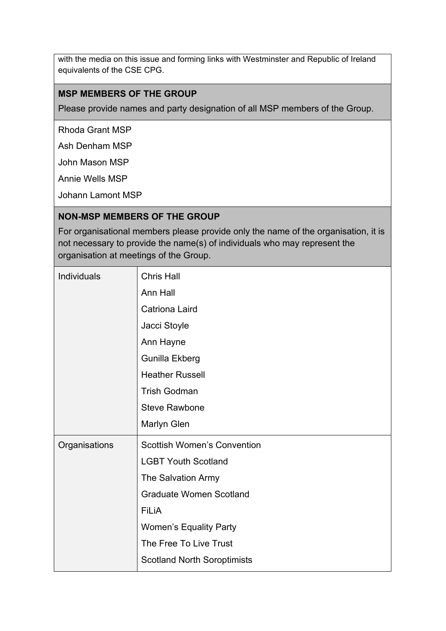with the media on this issue and forming links with Westminster and Republic of Ireland equivalents of the CSE CPG.

#### **MSP MEMBERS OF THE GROUP**

Please provide names and party designation of all MSP members of the Group.

Rhoda Grant MSP

Ash Denham MSP

John Mason MSP

Annie Wells MSP

Johann Lamont MSP

#### **NON-MSP MEMBERS OF THE GROUP**

For organisational members please provide only the name of the organisation, it is not necessary to provide the name(s) of individuals who may represent the organisation at meetings of the Group.

| <b>Individuals</b> | <b>Chris Hall</b>                  |
|--------------------|------------------------------------|
|                    | Ann Hall                           |
|                    | <b>Catriona Laird</b>              |
|                    | Jacci Stoyle                       |
|                    | Ann Hayne                          |
|                    | Gunilla Ekberg                     |
|                    | <b>Heather Russell</b>             |
|                    | <b>Trish Godman</b>                |
|                    | <b>Steve Rawbone</b>               |
|                    | <b>Marlyn Glen</b>                 |
| Organisations      | <b>Scottish Women's Convention</b> |
|                    | <b>LGBT Youth Scotland</b>         |
|                    | The Salvation Army                 |
|                    | <b>Graduate Women Scotland</b>     |
|                    | <b>FiLiA</b>                       |
|                    | <b>Women's Equality Party</b>      |
|                    | The Free To Live Trust             |
|                    | <b>Scotland North Soroptimists</b> |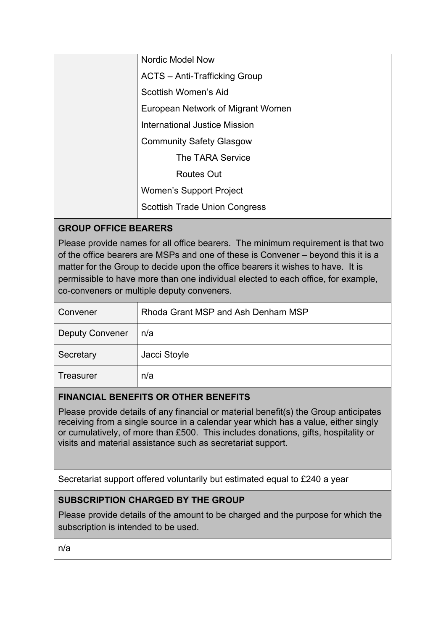| <b>Nordic Model Now</b>              |
|--------------------------------------|
| <b>ACTS</b> - Anti-Trafficking Group |
| Scottish Women's Aid                 |
| European Network of Migrant Women    |
| <b>International Justice Mission</b> |
| <b>Community Safety Glasgow</b>      |
| The TARA Service                     |
| <b>Routes Out</b>                    |
| <b>Women's Support Project</b>       |
| <b>Scottish Trade Union Congress</b> |

# **GROUP OFFICE BEARERS**

Please provide names for all office bearers. The minimum requirement is that two of the office bearers are MSPs and one of these is Convener – beyond this it is a matter for the Group to decide upon the office bearers it wishes to have. It is permissible to have more than one individual elected to each office, for example, co-conveners or multiple deputy conveners.

| Convener               | Rhoda Grant MSP and Ash Denham MSP |
|------------------------|------------------------------------|
| <b>Deputy Convener</b> | n/a                                |
| Secretary              | Jacci Stoyle                       |
| <b>Treasurer</b>       | n/a                                |

# **FINANCIAL BENEFITS OR OTHER BENEFITS**

Please provide details of any financial or material benefit(s) the Group anticipates receiving from a single source in a calendar year which has a value, either singly or cumulatively, of more than £500. This includes donations, gifts, hospitality or visits and material assistance such as secretariat support.

Secretariat support offered voluntarily but estimated equal to £240 a year

# **SUBSCRIPTION CHARGED BY THE GROUP**

Please provide details of the amount to be charged and the purpose for which the subscription is intended to be used.